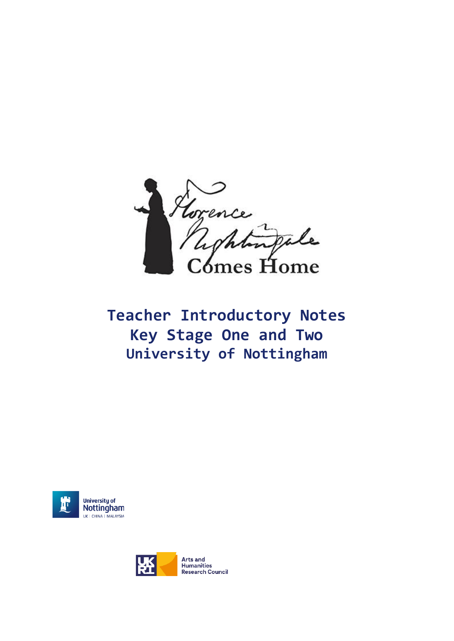

# **Teacher Introductory Notes Key Stage One and Two University of Nottingham**



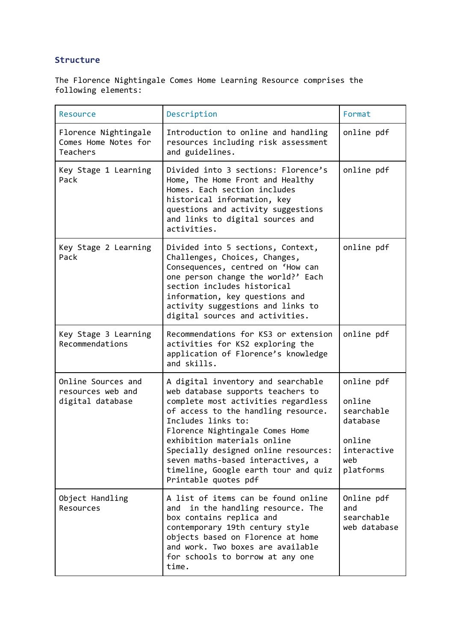# **Structure**

The Florence Nightingale Comes Home Learning Resource comprises the following elements:

| Resource                                                        | Description                                                                                                                                                                                                                                                                                                                                                                                | Format                                                                                      |
|-----------------------------------------------------------------|--------------------------------------------------------------------------------------------------------------------------------------------------------------------------------------------------------------------------------------------------------------------------------------------------------------------------------------------------------------------------------------------|---------------------------------------------------------------------------------------------|
| Florence Nightingale<br>Comes Home Notes for<br><b>Teachers</b> | Introduction to online and handling<br>resources including risk assessment<br>and guidelines.                                                                                                                                                                                                                                                                                              | online pdf                                                                                  |
| Key Stage 1 Learning<br>Pack                                    | Divided into 3 sections: Florence's<br>Home, The Home Front and Healthy<br>Homes. Each section includes<br>historical information, key<br>questions and activity suggestions<br>and links to digital sources and<br>activities.                                                                                                                                                            | online pdf                                                                                  |
| Key Stage 2 Learning<br>Pack                                    | Divided into 5 sections, Context,<br>Challenges, Choices, Changes,<br>Consequences, centred on 'How can<br>one person change the world?' Each<br>section includes historical<br>information, key questions and<br>activity suggestions and links to<br>digital sources and activities.                                                                                                     | online pdf                                                                                  |
| Key Stage 3 Learning<br>Recommendations                         | Recommendations for KS3 or extension<br>activities for KS2 exploring the<br>application of Florence's knowledge<br>and skills.                                                                                                                                                                                                                                                             | online pdf                                                                                  |
| Online Sources and<br>resources web and<br>digital database     | A digital inventory and searchable<br>web database supports teachers to<br>complete most activities regardless<br>of access to the handling resource.<br>Includes links to:<br>Florence Nightingale Comes Home<br>exhibition materials online<br>Specially designed online resources:<br>seven maths-based interactives, a<br>timeline, Google earth tour and quiz<br>Printable quotes pdf | online pdf<br>online<br>searchable<br>database<br>online<br>interactive<br>web<br>platforms |
| Object Handling<br>Resources                                    | A list of items can be found online<br>in the handling resource. The<br>and<br>box contains replica and<br>contemporary 19th century style<br>objects based on Florence at home<br>and work. Two boxes are available<br>for schools to borrow at any one<br>time.                                                                                                                          | Online pdf<br>and<br>searchable<br>web database                                             |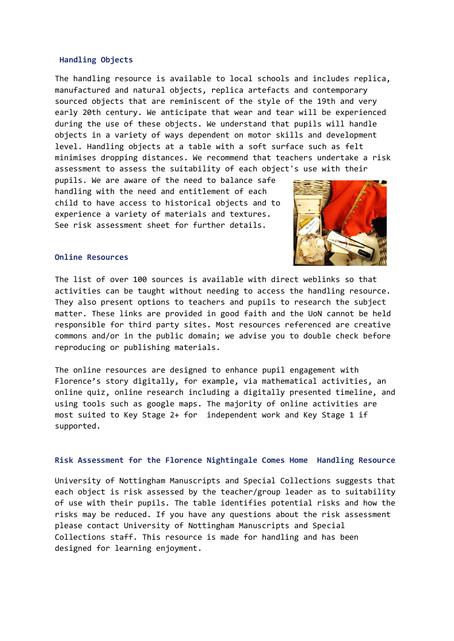#### **Handling Objects**

The handling resource is available to local schools and includes replica, manufactured and natural objects, replica artefacts and contemporary sourced objects that are reminiscent of the style of the 19th and very early 20th century. We anticipate that wear and tear will be experienced during the use of these objects. We understand that pupils will handle objects in a variety of ways dependent on motor skills and development level. Handling objects at a table with a soft surface such as felt minimises dropping distances. We recommend that teachers undertake a risk assessment to assess the suitability of each object's use with their

pupils. We are aware of the need to balance safe handling with the need and entitlement of each child to have access to historical objects and to experience a variety of materials and textures. See risk assessment sheet for further details.



#### **Online Resources**

The list of over 100 sources is available with direct weblinks so that activities can be taught without needing to access the handling resource. They also present options to teachers and pupils to research the subject matter. These links are provided in good faith and the UoN cannot be held responsible for third party sites. Most resources referenced are creative commons and/or in the public domain; we advise you to double check before reproducing or publishing materials.

The online resources are designed to enhance pupil engagement with Florence's story digitally, for example, via mathematical activities, an online quiz, online research including a digitally presented timeline, and using tools such as google maps. The majority of online activities are most suited to Key Stage 2+ for independent work and Key Stage 1 if supported.

## **Risk Assessment for the Florence Nightingale Comes Home Handling Resource**

University of Nottingham Manuscripts and Special Collections suggests that each object is risk assessed by the teacher/group leader as to suitability of use with their pupils. The table identifies potential risks and how the risks may be reduced. If you have any questions about the risk assessment please contact University of Nottingham Manuscripts and Special Collections staff. This resource is made for handling and has been designed for learning enjoyment.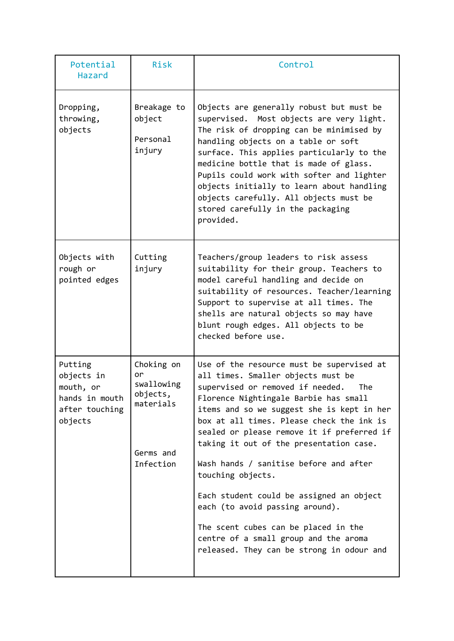| Potential<br><b>Hazard</b>                                                        | Risk                                                                              | Control                                                                                                                                                                                                                                                                                                                                                                                                                                                                                                                                                                                                                             |
|-----------------------------------------------------------------------------------|-----------------------------------------------------------------------------------|-------------------------------------------------------------------------------------------------------------------------------------------------------------------------------------------------------------------------------------------------------------------------------------------------------------------------------------------------------------------------------------------------------------------------------------------------------------------------------------------------------------------------------------------------------------------------------------------------------------------------------------|
| Dropping,<br>throwing,<br>objects                                                 | Breakage to<br>object<br>Personal<br>injury                                       | Objects are generally robust but must be<br>supervised.<br>Most objects are very light.<br>The risk of dropping can be minimised by<br>handling objects on a table or soft<br>surface. This applies particularly to the<br>medicine bottle that is made of glass.<br>Pupils could work with softer and lighter<br>objects initially to learn about handling<br>objects carefully. All objects must be<br>stored carefully in the packaging<br>provided.                                                                                                                                                                             |
| Objects with<br>rough or<br>pointed edges                                         | Cutting<br>injury                                                                 | Teachers/group leaders to risk assess<br>suitability for their group. Teachers to<br>model careful handling and decide on<br>suitability of resources. Teacher/learning<br>Support to supervise at all times. The<br>shells are natural objects so may have<br>blunt rough edges. All objects to be<br>checked before use.                                                                                                                                                                                                                                                                                                          |
| Putting<br>objects in<br>mouth, or<br>hands in mouth<br>after touching<br>objects | Choking on<br>or<br>swallowing<br>objects,<br>materials<br>Germs and<br>Infection | Use of the resource must be supervised at<br>all times. Smaller objects must be<br>supervised or removed if needed.<br>The<br>Florence Nightingale Barbie has small<br>items and so we suggest she is kept in her<br>box at all times. Please check the ink is<br>sealed or please remove it if preferred if<br>taking it out of the presentation case.<br>Wash hands / sanitise before and after<br>touching objects.<br>Each student could be assigned an object<br>each (to avoid passing around).<br>The scent cubes can be placed in the<br>centre of a small group and the aroma<br>released. They can be strong in odour and |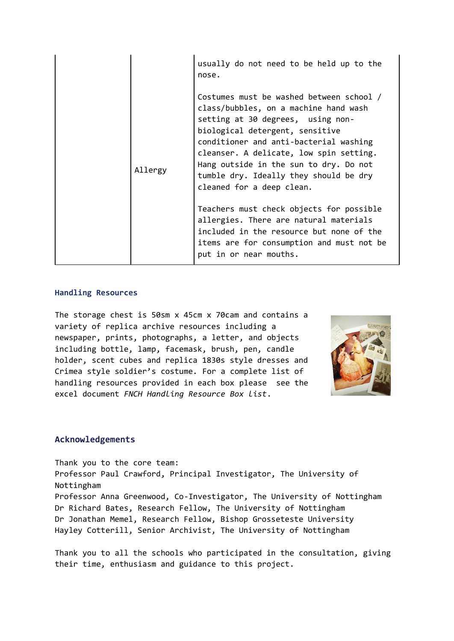|         | usually do not need to be held up to the<br>nose.                                                                                                                                                                                                                                                                                                               |
|---------|-----------------------------------------------------------------------------------------------------------------------------------------------------------------------------------------------------------------------------------------------------------------------------------------------------------------------------------------------------------------|
| Allergy | Costumes must be washed between school /<br>class/bubbles, on a machine hand wash<br>setting at 30 degrees, using non-<br>biological detergent, sensitive<br>conditioner and anti-bacterial washing<br>cleanser. A delicate, low spin setting.<br>Hang outside in the sun to dry. Do not<br>tumble dry. Ideally they should be dry<br>cleaned for a deep clean. |
|         | Teachers must check objects for possible<br>allergies. There are natural materials<br>included in the resource but none of the<br>items are for consumption and must not be<br>put in or near mouths.                                                                                                                                                           |

## **Handling Resources**

The storage chest is 50sm x 45cm x 70cam and contains a variety of replica archive resources including a newspaper, prints, photographs, a letter, and objects including bottle, lamp, facemask, brush, pen, candle holder, scent cubes and replica 1830s style dresses and Crimea style soldier's costume. For a complete list of handling resources provided in each box please see the excel document *FNCH Handling Resource Box list*.



## **Acknowledgements**

Thank you to the core team: Professor Paul Crawford, Principal Investigator, The University of Nottingham Professor Anna Greenwood, Co-Investigator, The University of Nottingham Dr Richard Bates, Research Fellow, The University of Nottingham Dr Jonathan Memel, Research Fellow, Bishop Grosseteste University Hayley Cotterill, Senior Archivist, The University of Nottingham

Thank you to all the schools who participated in the consultation, giving their time, enthusiasm and guidance to this project.